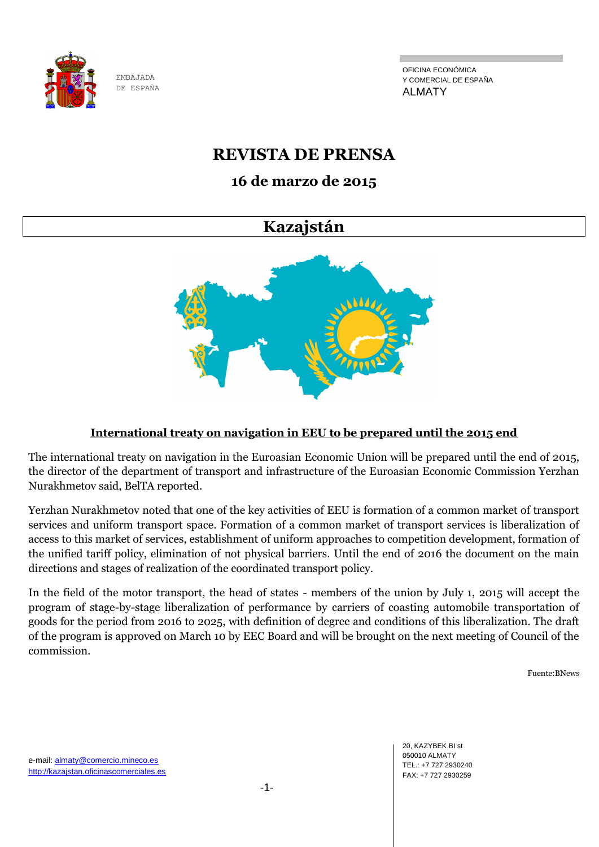

OFICINA ECONÓMICA Y COMERCIAL DE ESPAÑA ALMATY

# **REVISTA DE PRENSA**

# **16 de marzo de 2015**

# **Kazajstán**



## **International treaty on navigation in EEU to be prepared until the 2015 end**

The international treaty on navigation in the Euroasian Economic Union will be prepared until the end of 2015, the director of the department of transport and infrastructure of the Euroasian Economic Commission Yerzhan Nurakhmetov said, BelTA reported.

Yerzhan Nurakhmetov noted that one of the key activities of EEU is formation of a common market of transport services and uniform transport space. Formation of a common market of transport services is liberalization of access to this market of services, establishment of uniform approaches to competition development, formation of the unified tariff policy, elimination of not physical barriers. Until the end of 2016 the document on the main directions and stages of realization of the coordinated transport policy.

In the field of the motor transport, the head of states - members of the union by July 1, 2015 will accept the program of stage-by-stage liberalization of performance by carriers of coasting automobile transportation of goods for the period from 2016 to 2025, with definition of degree and conditions of this liberalization. The draft of the program is approved on March 10 by EEC Board and will be brought on the next meeting of Council of the commission.

Fuente:BNews

20, KAZYBEK BI st 050010 ALMATY TEL.: +7 727 2930240 FAX: +7 727 2930259

e-mail: almaty@comercio.mineco.es http://kazajstan.oficinascomerciales.es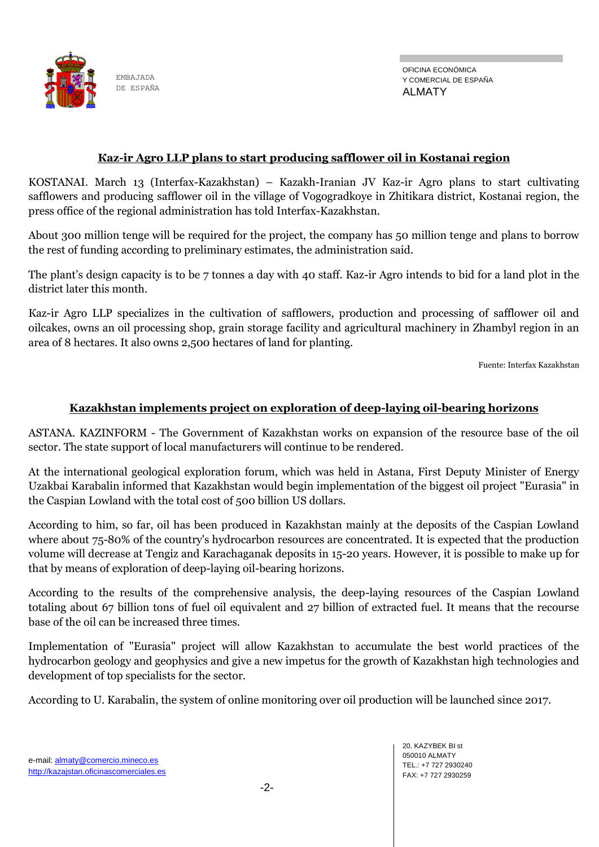

## **Кaz-ir Аgro LLP plans to start producing safflower oil in Kostanai region**

KOSTANAI. March 13 (Interfax-Kazakhstan) – Kazakh-Iranian JV Кaz-ir Аgro plans to start cultivating safflowers and producing safflower oil in the village of Vogogradkoye in Zhitikara district, Kostanai region, the press office of the regional administration has told Interfax-Kazakhstan.

About 300 million tenge will be required for the project, the company has 50 million tenge and plans to borrow the rest of funding according to preliminary estimates, the administration said.

The plant's design capacity is to be 7 tonnes a day with 40 staff. Kaz-ir Agro intends to bid for a land plot in the district later this month.

Кaz-ir Аgro LLP specializes in the cultivation of safflowers, production and processing of safflower oil and oilcakes, owns an oil processing shop, grain storage facility and agricultural machinery in Zhambyl region in an area of 8 hectares. It also owns 2,500 hectares of land for planting.

Fuente: Interfax Kazakhstan

#### **Kazakhstan implements project on exploration of deep-laying oil-bearing horizons**

ASTANA. KAZINFORM - The Government of Kazakhstan works on expansion of the resource base of the oil sector. The state support of local manufacturers will continue to be rendered.

At the international geological exploration forum, which was held in Astana, First Deputy Minister of Energy Uzakbai Karabalin informed that Kazakhstan would begin implementation of the biggest oil project "Eurasia" in the Caspian Lowland with the total cost of 500 billion US dollars.

According to him, so far, oil has been produced in Kazakhstan mainly at the deposits of the Caspian Lowland where about 75-80% of the country's hydrocarbon resources are concentrated. It is expected that the production volume will decrease at Tengiz and Karachaganak deposits in 15-20 years. However, it is possible to make up for that by means of exploration of deep-laying oil-bearing horizons.

According to the results of the comprehensive analysis, the deep-laying resources of the Caspian Lowland totaling about 67 billion tons of fuel oil equivalent and 27 billion of extracted fuel. It means that the recourse base of the oil can be increased three times.

Implementation of "Eurasia" project will allow Kazakhstan to accumulate the best world practices of the hydrocarbon geology and geophysics and give a new impetus for the growth of Kazakhstan high technologies and development of top specialists for the sector.

According to U. Karabalin, the system of online monitoring over oil production will be launched since 2017.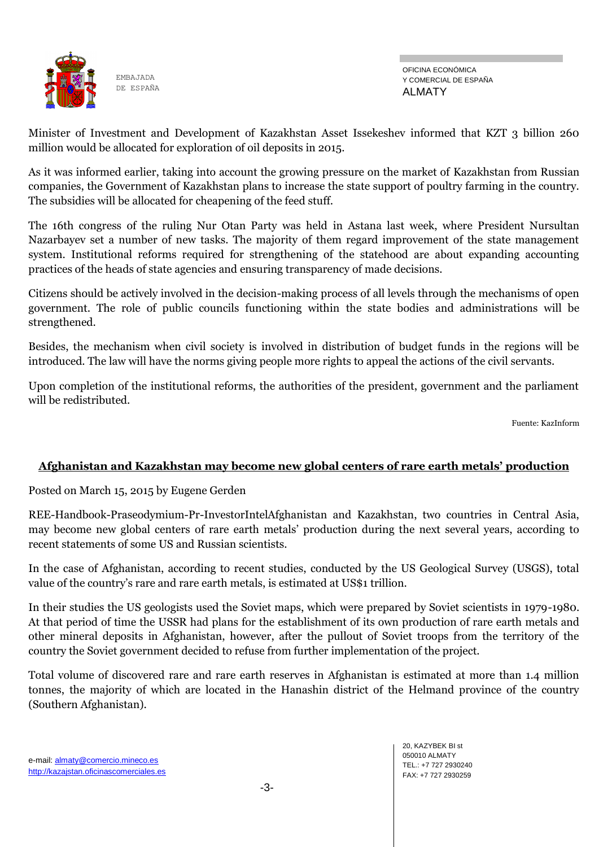

Minister of Investment and Development of Kazakhstan Asset Issekeshev informed that KZT 3 billion 260 million would be allocated for exploration of oil deposits in 2015.

As it was informed earlier, taking into account the growing pressure on the market of Kazakhstan from Russian companies, the Government of Kazakhstan plans to increase the state support of poultry farming in the country. The subsidies will be allocated for cheapening of the feed stuff.

The 16th congress of the ruling Nur Otan Party was held in Astana last week, where President Nursultan Nazarbayev set a number of new tasks. The majority of them regard improvement of the state management system. Institutional reforms required for strengthening of the statehood are about expanding accounting practices of the heads of state agencies and ensuring transparency of made decisions.

Citizens should be actively involved in the decision-making process of all levels through the mechanisms of open government. The role of public councils functioning within the state bodies and administrations will be strengthened.

Besides, the mechanism when civil society is involved in distribution of budget funds in the regions will be introduced. The law will have the norms giving people more rights to appeal the actions of the civil servants.

Upon completion of the institutional reforms, the authorities of the president, government and the parliament will be redistributed.

Fuente: KazInform

## **Afghanistan and Kazakhstan may become new global centers of rare earth metals' production**

Posted on March 15, 2015 by Eugene Gerden

REE-Handbook-Praseodymium-Pr-InvestorIntelAfghanistan and Kazakhstan, two countries in Central Asia, may become new global centers of rare earth metals' production during the next several years, according to recent statements of some US and Russian scientists.

In the case of Afghanistan, according to recent studies, conducted by the US Geological Survey (USGS), total value of the country's rare and rare earth metals, is estimated at US\$1 trillion.

In their studies the US geologists used the Soviet maps, which were prepared by Soviet scientists in 1979-1980. At that period of time the USSR had plans for the establishment of its own production of rare earth metals and other mineral deposits in Afghanistan, however, after the pullout of Soviet troops from the territory of the country the Soviet government decided to refuse from further implementation of the project.

Total volume of discovered rare and rare earth reserves in Afghanistan is estimated at more than 1.4 million tonnes, the majority of which are located in the Hanashin district of the Helmand province of the country (Southern Afghanistan).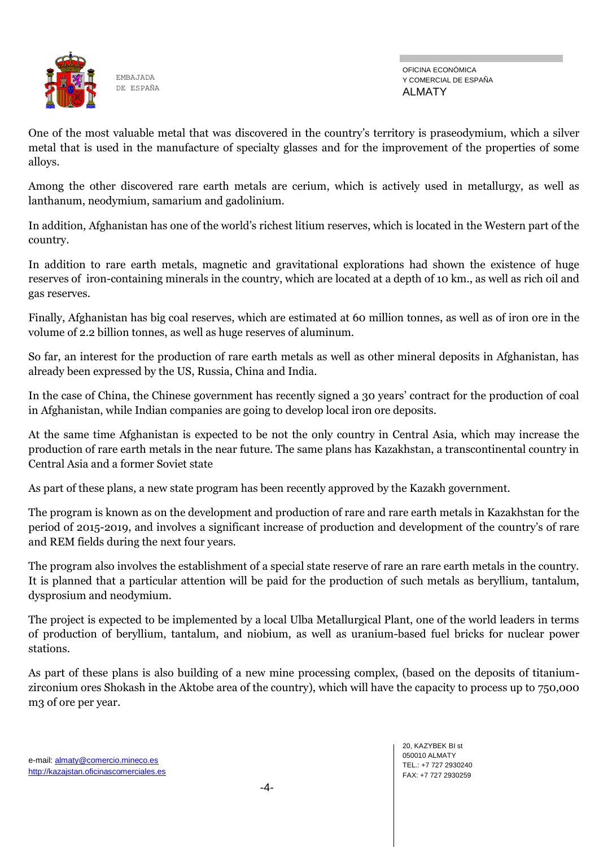

One of the most valuable metal that was discovered in the country's territory is praseodymium, which a silver metal that is used in the manufacture of specialty glasses and for the improvement of the properties of some alloys.

Among the other discovered rare earth metals are cerium, which is actively used in metallurgy, as well as lanthanum, neodymium, samarium and gadolinium.

In addition, Afghanistan has one of the world's richest litium reserves, which is located in the Western part of the country.

In addition to rare earth metals, magnetic and gravitational explorations had shown the existence of huge reserves of iron-containing minerals in the country, which are located at a depth of 10 km., as well as rich oil and gas reserves.

Finally, Afghanistan has big coal reserves, which are estimated at 60 million tonnes, as well as of iron ore in the volume of 2.2 billion tonnes, as well as huge reserves of aluminum.

So far, an interest for the production of rare earth metals as well as other mineral deposits in Afghanistan, has already been expressed by the US, Russia, China and India.

In the case of China, the Chinese government has recently signed a 30 years' contract for the production of coal in Afghanistan, while Indian companies are going to develop local iron ore deposits.

At the same time Afghanistan is expected to be not the only country in Central Asia, which may increase the production of rare earth metals in the near future. The same plans has Kazakhstan, a transcontinental country in Central Asia and a former Soviet state

As part of these plans, a new state program has been recently approved by the Kazakh government.

The program is known as on the development and production of rare and rare earth metals in Kazakhstan for the period of 2015-2019, and involves a significant increase of production and development of the country's of rare and REM fields during the next four years.

The program also involves the establishment of a special state reserve of rare an rare earth metals in the country. It is planned that a particular attention will be paid for the production of such metals as beryllium, tantalum, dysprosium and neodymium.

The project is expected to be implemented by a local Ulba Metallurgical Plant, one of the world leaders in terms of production of beryllium, tantalum, and niobium, as well as uranium-based fuel bricks for nuclear power stations.

As part of these plans is also building of a new mine processing complex, (based on the deposits of titaniumzirconium ores Shokash in the Aktobe area of the country), which will have the capacity to process up to 750,000 m3 of ore per year.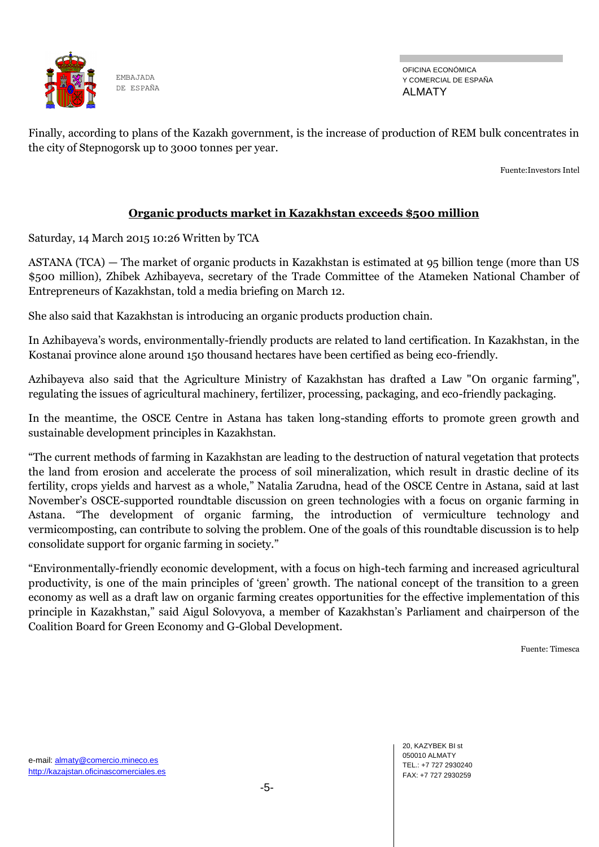

OFICINA ECONÓMICA Y COMERCIAL DE ESPAÑA ALMATY

Finally, according to plans of the Kazakh government, is the increase of production of REM bulk concentrates in the city of Stepnogorsk up to 3000 tonnes per year.

Fuente:Investors Intel

## **Organic products market in Kazakhstan exceeds \$500 million**

Saturday, 14 March 2015 10:26 Written by TCA

ASTANA (TCA) — The market of organic products in Kazakhstan is estimated at 95 billion tenge (more than US \$500 million), Zhibek Azhibayeva, secretary of the Trade Committee of the Atameken National Chamber of Entrepreneurs of Kazakhstan, told a media briefing on March 12.

She also said that Kazakhstan is introducing an organic products production chain.

In Azhibayeva's words, environmentally-friendly products are related to land certification. In Kazakhstan, in the Kostanai province alone around 150 thousand hectares have been certified as being eco-friendly.

Azhibayeva also said that the Agriculture Ministry of Kazakhstan has drafted a Law "On organic farming", regulating the issues of agricultural machinery, fertilizer, processing, packaging, and eco-friendly packaging.

In the meantime, the OSCE Centre in Astana has taken long-standing efforts to promote green growth and sustainable development principles in Kazakhstan.

―The current methods of farming in Kazakhstan are leading to the destruction of natural vegetation that protects the land from erosion and accelerate the process of soil mineralization, which result in drastic decline of its fertility, crops yields and harvest as a whole," Natalia Zarudna, head of the OSCE Centre in Astana, said at last November's OSCE-supported roundtable discussion on green technologies with a focus on organic farming in Astana. "The development of organic farming, the introduction of vermiculture technology and vermicomposting, can contribute to solving the problem. One of the goals of this roundtable discussion is to help consolidate support for organic farming in society."

―Environmentally-friendly economic development, with a focus on high-tech farming and increased agricultural productivity, is one of the main principles of ‗green' growth. The national concept of the transition to a green economy as well as a draft law on organic farming creates opportunities for the effective implementation of this principle in Kazakhstan," said Aigul Solovyova, a member of Kazakhstan's Parliament and chairperson of the Coalition Board for Green Economy and G-Global Development.

Fuente: Timesca

20, KAZYBEK BI st 050010 ALMATY TEL.: +7 727 2930240 FAX: +7 727 2930259

e-mail: almaty@comercio.mineco.es http://kazajstan.oficinascomerciales.es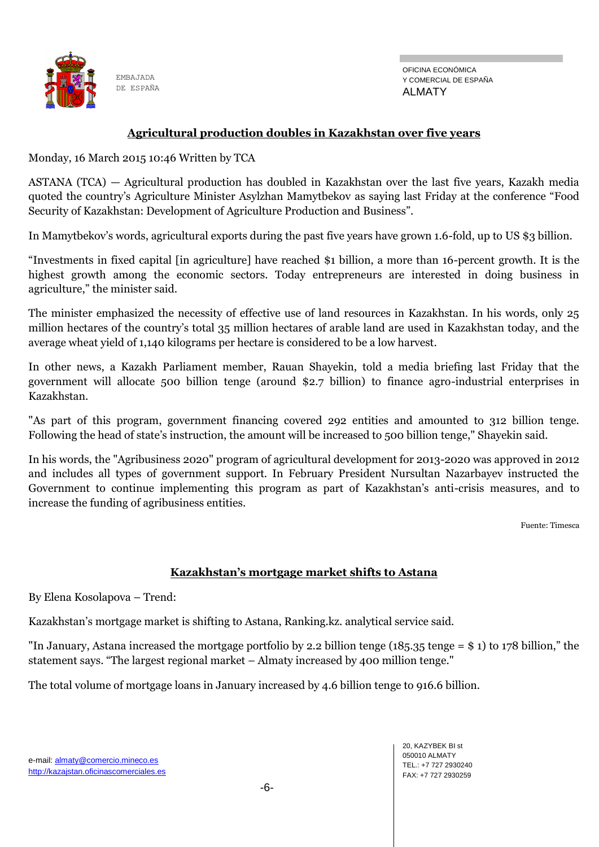

OFICINA ECONÓMICA Y COMERCIAL DE ESPAÑA ALMATY

## **Agricultural production doubles in Kazakhstan over five years**

Monday, 16 March 2015 10:46 Written by TCA

ASTANA (TCA) — Agricultural production has doubled in Kazakhstan over the last five years, Kazakh media quoted the country's Agriculture Minister Asylzhan Mamytbekov as saying last Friday at the conference "Food Security of Kazakhstan: Development of Agriculture Production and Business".

In Mamytbekov's words, agricultural exports during the past five years have grown 1.6-fold, up to US \$3 billion.

―Investments in fixed capital [in agriculture] have reached \$1 billion, a more than 16-percent growth. It is the highest growth among the economic sectors. Today entrepreneurs are interested in doing business in agriculture," the minister said.

The minister emphasized the necessity of effective use of land resources in Kazakhstan. In his words, only 25 million hectares of the country's total 35 million hectares of arable land are used in Kazakhstan today, and the average wheat yield of 1,140 kilograms per hectare is considered to be a low harvest.

In other news, a Kazakh Parliament member, Rauan Shayekin, told a media briefing last Friday that the government will allocate 500 billion tenge (around \$2.7 billion) to finance agro-industrial enterprises in Kazakhstan.

"As part of this program, government financing covered 292 entities and amounted to 312 billion tenge. Following the head of state's instruction, the amount will be increased to 500 billion tenge," Shayekin said.

In his words, the "Agribusiness 2020" program of agricultural development for 2013-2020 was approved in 2012 and includes all types of government support. In February President Nursultan Nazarbayev instructed the Government to continue implementing this program as part of Kazakhstan's anti-crisis measures, and to increase the funding of agribusiness entities.

Fuente: Timesca

## **Kazakhstan's mortgage market shifts to Astana**

By Elena Kosolapova – Trend:

Kazakhstan's mortgage market is shifting to Astana, Ranking.kz. analytical service said.

"In January, Astana increased the mortgage portfolio by 2.2 billion tenge (185.35 tenge = \$ 1) to 178 billion," the statement says. "The largest regional market – Almaty increased by 400 million tenge."

The total volume of mortgage loans in January increased by 4.6 billion tenge to 916.6 billion.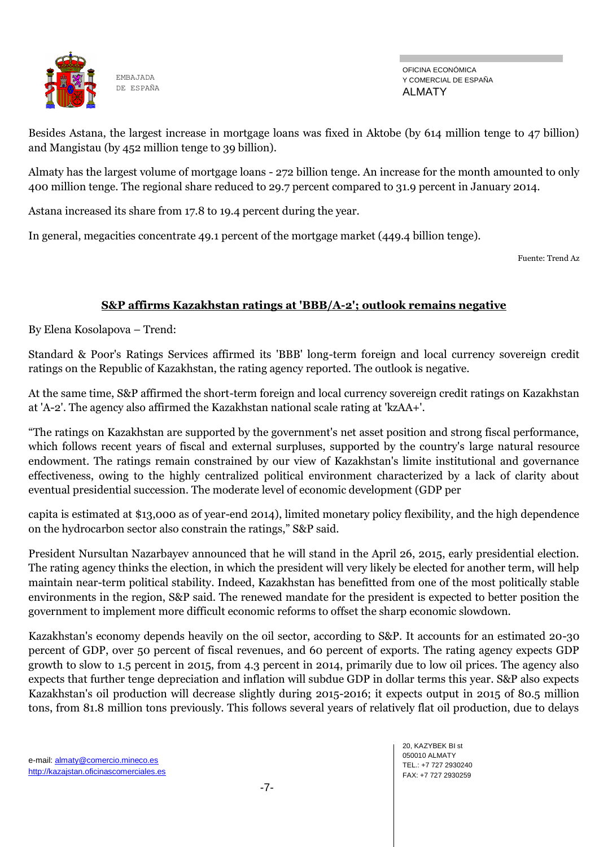

OFICINA ECONÓMICA Y COMERCIAL DE ESPAÑA ALMATY

Besides Astana, the largest increase in mortgage loans was fixed in Aktobe (by 614 million tenge to 47 billion) and Mangistau (by 452 million tenge to 39 billion).

Almaty has the largest volume of mortgage loans - 272 billion tenge. An increase for the month amounted to only 400 million tenge. The regional share reduced to 29.7 percent compared to 31.9 percent in January 2014.

Astana increased its share from 17.8 to 19.4 percent during the year.

In general, megacities concentrate 49.1 percent of the mortgage market (449.4 billion tenge).

Fuente: Trend Az

## **S&P affirms Kazakhstan ratings at 'BBB/A-2'; outlook remains negative**

By Elena Kosolapova – Trend:

Standard & Poor's Ratings Services affirmed its 'BBB' long-term foreign and local currency sovereign credit ratings on the Republic of Kazakhstan, the rating agency reported. The outlook is negative.

At the same time, S&P affirmed the short-term foreign and local currency sovereign credit ratings on Kazakhstan at 'A-2'. The agency also affirmed the Kazakhstan national scale rating at 'kzAA+'.

―The ratings on Kazakhstan are supported by the government's net asset position and strong fiscal performance, which follows recent years of fiscal and external surpluses, supported by the country's large natural resource endowment. The ratings remain constrained by our view of Kazakhstan's limite institutional and governance effectiveness, owing to the highly centralized political environment characterized by a lack of clarity about eventual presidential succession. The moderate level of economic development (GDP per

capita is estimated at \$13,000 as of year-end 2014), limited monetary policy flexibility, and the high dependence on the hydrocarbon sector also constrain the ratings," S&P said.

President Nursultan Nazarbayev announced that he will stand in the April 26, 2015, early presidential election. The rating agency thinks the election, in which the president will very likely be elected for another term, will help maintain near-term political stability. Indeed, Kazakhstan has benefitted from one of the most politically stable environments in the region, S&P said. The renewed mandate for the president is expected to better position the government to implement more difficult economic reforms to offset the sharp economic slowdown.

Kazakhstan's economy depends heavily on the oil sector, according to S&P. It accounts for an estimated 20-30 percent of GDP, over 50 percent of fiscal revenues, and 60 percent of exports. The rating agency expects GDP growth to slow to 1.5 percent in 2015, from 4.3 percent in 2014, primarily due to low oil prices. The agency also expects that further tenge depreciation and inflation will subdue GDP in dollar terms this year. S&P also expects Kazakhstan's oil production will decrease slightly during 2015-2016; it expects output in 2015 of 80.5 million tons, from 81.8 million tons previously. This follows several years of relatively flat oil production, due to delays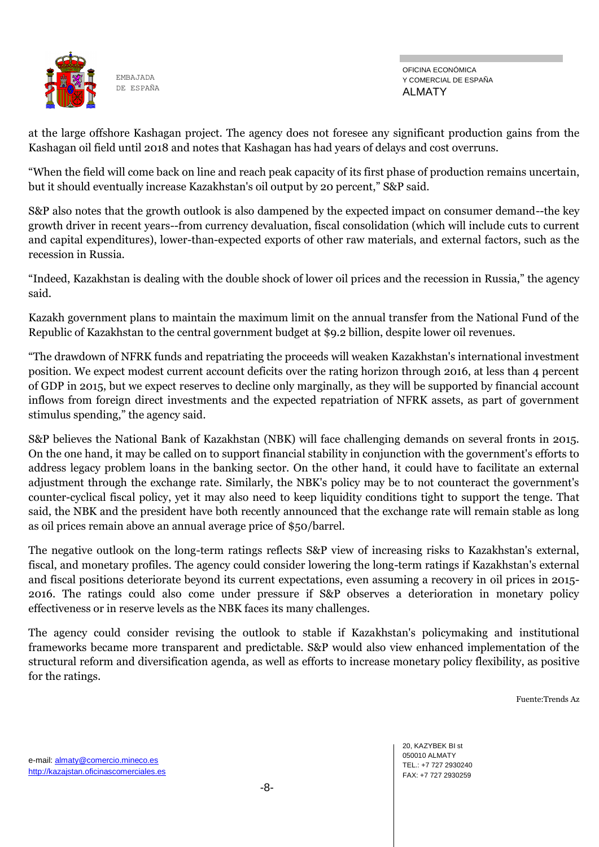

OFICINA ECONÓMICA Y COMERCIAL DE ESPAÑA ALMATY

at the large offshore Kashagan project. The agency does not foresee any significant production gains from the Kashagan oil field until 2018 and notes that Kashagan has had years of delays and cost overruns.

―When the field will come back on line and reach peak capacity of its first phase of production remains uncertain, but it should eventually increase Kazakhstan's oil output by 20 percent," S&P said.

S&P also notes that the growth outlook is also dampened by the expected impact on consumer demand--the key growth driver in recent years--from currency devaluation, fiscal consolidation (which will include cuts to current and capital expenditures), lower-than-expected exports of other raw materials, and external factors, such as the recession in Russia.

―Indeed, Kazakhstan is dealing with the double shock of lower oil prices and the recession in Russia,‖ the agency said.

Kazakh government plans to maintain the maximum limit on the annual transfer from the National Fund of the Republic of Kazakhstan to the central government budget at \$9.2 billion, despite lower oil revenues.

―The drawdown of NFRK funds and repatriating the proceeds will weaken Kazakhstan's international investment position. We expect modest current account deficits over the rating horizon through 2016, at less than 4 percent of GDP in 2015, but we expect reserves to decline only marginally, as they will be supported by financial account inflows from foreign direct investments and the expected repatriation of NFRK assets, as part of government stimulus spending," the agency said.

S&P believes the National Bank of Kazakhstan (NBK) will face challenging demands on several fronts in 2015. On the one hand, it may be called on to support financial stability in conjunction with the government's efforts to address legacy problem loans in the banking sector. On the other hand, it could have to facilitate an external adjustment through the exchange rate. Similarly, the NBK's policy may be to not counteract the government's counter-cyclical fiscal policy, yet it may also need to keep liquidity conditions tight to support the tenge. That said, the NBK and the president have both recently announced that the exchange rate will remain stable as long as oil prices remain above an annual average price of \$50/barrel.

The negative outlook on the long-term ratings reflects S&P view of increasing risks to Kazakhstan's external, fiscal, and monetary profiles. The agency could consider lowering the long-term ratings if Kazakhstan's external and fiscal positions deteriorate beyond its current expectations, even assuming a recovery in oil prices in 2015- 2016. The ratings could also come under pressure if S&P observes a deterioration in monetary policy effectiveness or in reserve levels as the NBK faces its many challenges.

The agency could consider revising the outlook to stable if Kazakhstan's policymaking and institutional frameworks became more transparent and predictable. S&P would also view enhanced implementation of the structural reform and diversification agenda, as well as efforts to increase monetary policy flexibility, as positive for the ratings.

Fuente:Trends Az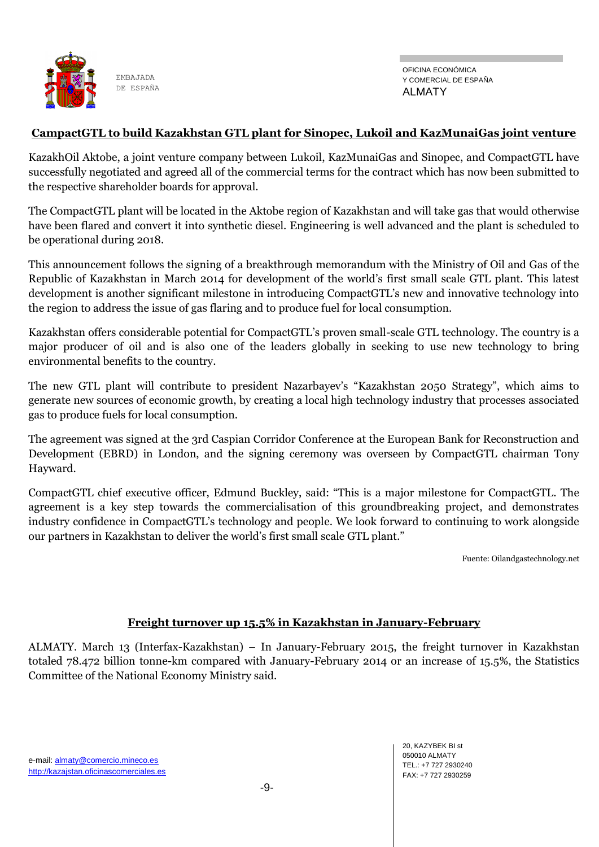

## **CampactGTL to build Kazakhstan GTL plant for Sinopec, Lukoil and KazMunaiGas joint venture**

KazakhOil Aktobe, a joint venture company between Lukoil, KazMunaiGas and Sinopec, and CompactGTL have successfully negotiated and agreed all of the commercial terms for the contract which has now been submitted to the respective shareholder boards for approval.

The CompactGTL plant will be located in the Aktobe region of Kazakhstan and will take gas that would otherwise have been flared and convert it into synthetic diesel. Engineering is well advanced and the plant is scheduled to be operational during 2018.

This announcement follows the signing of a breakthrough memorandum with the Ministry of Oil and Gas of the Republic of Kazakhstan in March 2014 for development of the world's first small scale GTL plant. This latest development is another significant milestone in introducing CompactGTL's new and innovative technology into the region to address the issue of gas flaring and to produce fuel for local consumption.

Kazakhstan offers considerable potential for CompactGTL's proven small-scale GTL technology. The country is a major producer of oil and is also one of the leaders globally in seeking to use new technology to bring environmental benefits to the country.

The new GTL plant will contribute to president Nazarbayev's "Kazakhstan 2050 Strategy", which aims to generate new sources of economic growth, by creating a local high technology industry that processes associated gas to produce fuels for local consumption.

The agreement was signed at the 3rd Caspian Corridor Conference at the European Bank for Reconstruction and Development (EBRD) in London, and the signing ceremony was overseen by CompactGTL chairman Tony Hayward.

CompactGTL chief executive officer, Edmund Buckley, said: "This is a major milestone for CompactGTL. The agreement is a key step towards the commercialisation of this groundbreaking project, and demonstrates industry confidence in CompactGTL's technology and people. We look forward to continuing to work alongside our partners in Kazakhstan to deliver the world's first small scale GTL plant."

Fuente: Oilandgastechnology.net

#### **Freight turnover up 15.5% in Kazakhstan in January-February**

ALMATY. March 13 (Interfax-Kazakhstan) – In January-February 2015, the freight turnover in Kazakhstan totaled 78.472 billion tonne-km compared with January-February 2014 or an increase of 15.5%, the Statistics Committee of the National Economy Ministry said.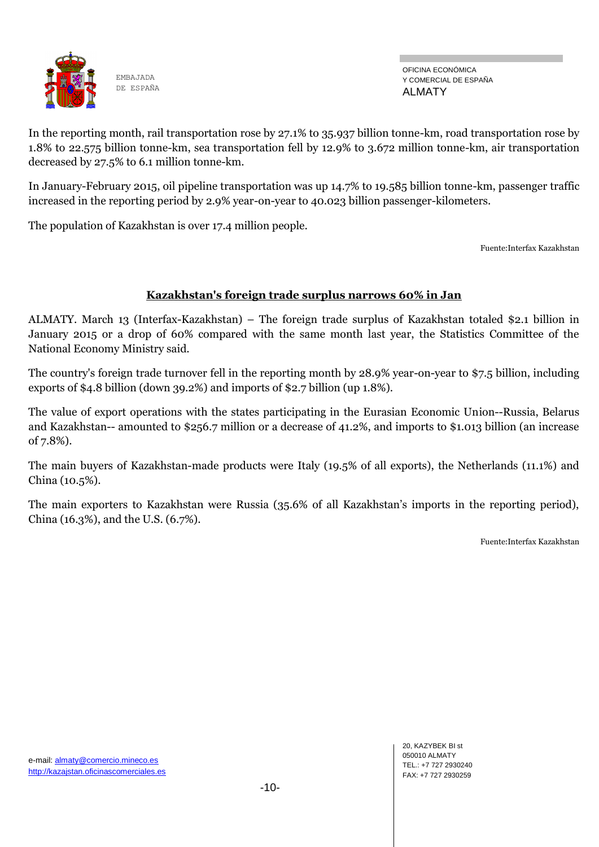

In the reporting month, rail transportation rose by 27.1% to 35.937 billion tonne-km, road transportation rose by 1.8% to 22.575 billion tonne-km, sea transportation fell by 12.9% to 3.672 million tonne-km, air transportation decreased by 27.5% to 6.1 million tonne-km.

In January-February 2015, oil pipeline transportation was up 14.7% to 19.585 billion tonne-km, passenger traffic increased in the reporting period by 2.9% year-on-year to 40.023 billion passenger-kilometers.

The population of Kazakhstan is over 17.4 million people.

Fuente:Interfax Kazakhstan

#### **Kazakhstan's foreign trade surplus narrows 60% in Jan**

ALMATY. March 13 (Interfax-Kazakhstan) – The foreign trade surplus of Kazakhstan totaled \$2.1 billion in January 2015 or a drop of 60% compared with the same month last year, the Statistics Committee of the National Economy Ministry said.

The country's foreign trade turnover fell in the reporting month by 28.9% year-on-year to \$7.5 billion, including exports of \$4.8 billion (down 39.2%) and imports of \$2.7 billion (up 1.8%).

The value of export operations with the states participating in the Eurasian Economic Union--Russia, Belarus and Kazakhstan-- amounted to \$256.7 million or a decrease of 41.2%, and imports to \$1.013 billion (an increase of 7.8%).

The main buyers of Kazakhstan-made products were Italy (19.5% of all exports), the Netherlands (11.1%) and China (10.5%).

The main exporters to Kazakhstan were Russia (35.6% of all Kazakhstan's imports in the reporting period), China (16.3%), and the U.S. (6.7%).

Fuente:Interfax Kazakhstan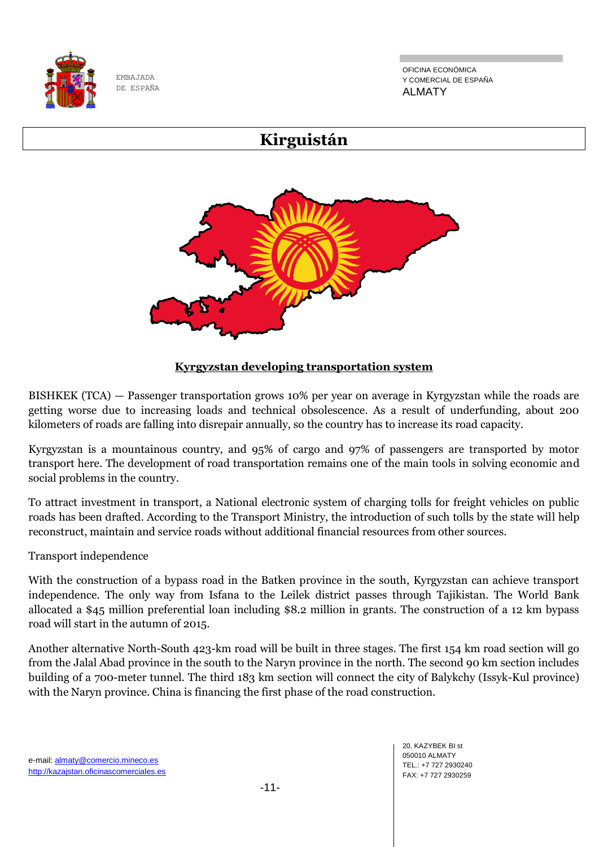

OFICINA ECONÓMICA Y COMERCIAL DE ESPAÑA ALMATY

# **Kirguistán**



## **Kyrgyzstan developing transportation system**

BISHKEK (TCA) — Passenger transportation grows 10% per year on average in Kyrgyzstan while the roads are getting worse due to increasing loads and technical obsolescence. As a result of underfunding, about 200 kilometers of roads are falling into disrepair annually, so the country has to increase its road capacity.

Kyrgyzstan is a mountainous country, and 95% of cargo and 97% of passengers are transported by motor transport here. The development of road transportation remains one of the main tools in solving economic and social problems in the country.

To attract investment in transport, a National electronic system of charging tolls for freight vehicles on public roads has been drafted. According to the Transport Ministry, the introduction of such tolls by the state will help reconstruct, maintain and service roads without additional financial resources from other sources.

Transport independence

With the construction of a bypass road in the Batken province in the south, Kyrgyzstan can achieve transport independence. The only way from Isfana to the Leilek district passes through Tajikistan. The World Bank allocated a \$45 million preferential loan including \$8.2 million in grants. The construction of a 12 km bypass road will start in the autumn of 2015.

Another alternative North-South 423-km road will be built in three stages. The first 154 km road section will go from the Jalal Abad province in the south to the Naryn province in the north. The second 90 km section includes building of a 700-meter tunnel. The third 183 km section will connect the city of Balykchy (Issyk-Kul province) with the Naryn province. China is financing the first phase of the road construction.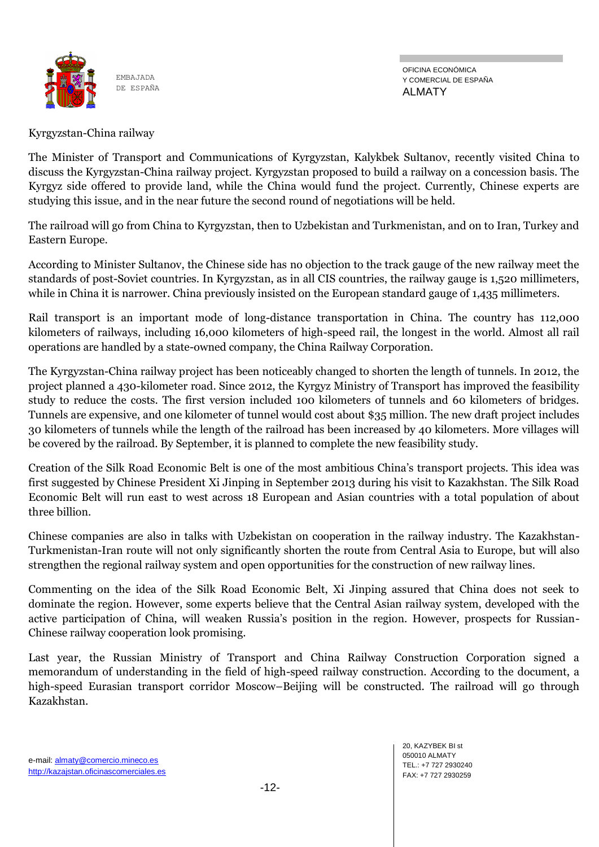

OFICINA ECONÓMICA Y COMERCIAL DE ESPAÑA ALMATY

## Kyrgyzstan-China railway

The Minister of Transport and Communications of Kyrgyzstan, Kalykbek Sultanov, recently visited China to discuss the Kyrgyzstan-China railway project. Kyrgyzstan proposed to build a railway on a concession basis. The Kyrgyz side offered to provide land, while the China would fund the project. Currently, Chinese experts are studying this issue, and in the near future the second round of negotiations will be held.

The railroad will go from China to Kyrgyzstan, then to Uzbekistan and Turkmenistan, and on to Iran, Turkey and Eastern Europe.

According to Minister Sultanov, the Chinese side has no objection to the track gauge of the new railway meet the standards of post-Soviet countries. In Kyrgyzstan, as in all CIS countries, the railway gauge is 1,520 millimeters, while in China it is narrower. China previously insisted on the European standard gauge of 1,435 millimeters.

Rail transport is an important mode of long-distance transportation in China. The country has 112,000 kilometers of railways, including 16,000 kilometers of high-speed rail, the longest in the world. Almost all rail operations are handled by a state-owned company, the China Railway Corporation.

The Kyrgyzstan-China railway project has been noticeably changed to shorten the length of tunnels. In 2012, the project planned a 430-kilometer road. Since 2012, the Kyrgyz Ministry of Transport has improved the feasibility study to reduce the costs. The first version included 100 kilometers of tunnels and 60 kilometers of bridges. Tunnels are expensive, and one kilometer of tunnel would cost about \$35 million. The new draft project includes 30 kilometers of tunnels while the length of the railroad has been increased by 40 kilometers. More villages will be covered by the railroad. By September, it is planned to complete the new feasibility study.

Creation of the Silk Road Economic Belt is one of the most ambitious China's transport projects. This idea was first suggested by Chinese President Xi Jinping in September 2013 during his visit to Kazakhstan. The Silk Road Economic Belt will run east to west across 18 European and Asian countries with a total population of about three billion.

Chinese companies are also in talks with Uzbekistan on cooperation in the railway industry. The Kazakhstan-Turkmenistan-Iran route will not only significantly shorten the route from Central Asia to Europe, but will also strengthen the regional railway system and open opportunities for the construction of new railway lines.

Commenting on the idea of the Silk Road Economic Belt, Xi Jinping assured that China does not seek to dominate the region. However, some experts believe that the Central Asian railway system, developed with the active participation of China, will weaken Russia's position in the region. However, prospects for Russian-Chinese railway cooperation look promising.

Last year, the Russian Ministry of Transport and China Railway Construction Corporation signed a memorandum of understanding in the field of high-speed railway construction. According to the document, a high-speed Eurasian transport corridor Moscow–Beijing will be constructed. The railroad will go through Kazakhstan.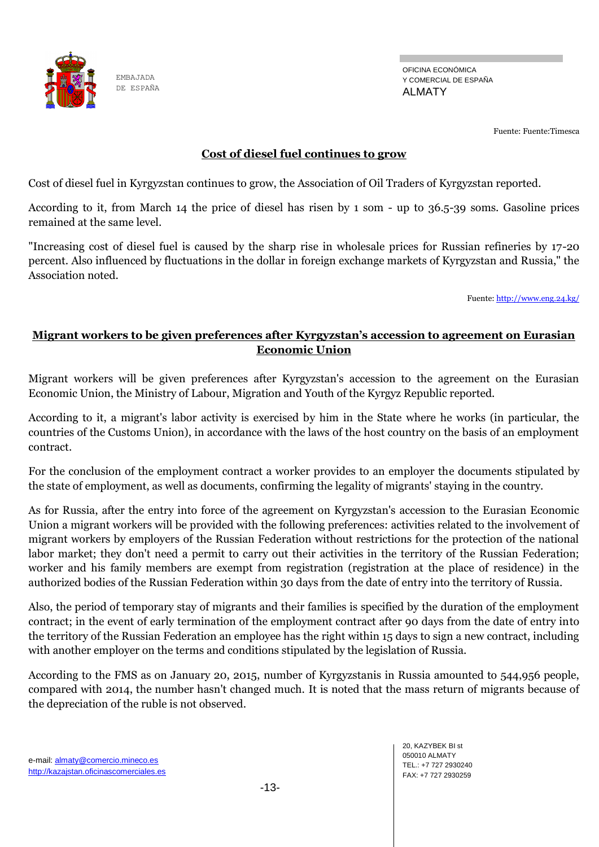

OFICINA ECONÓMICA Y COMERCIAL DE ESPAÑA ALMATY

Fuente: Fuente:Timesca

## **Cost of diesel fuel continues to grow**

Cost of diesel fuel in Kyrgyzstan continues to grow, the Association of Oil Traders of Kyrgyzstan reported.

According to it, from March 14 the price of diesel has risen by 1 som - up to 36.5-39 soms. Gasoline prices remained at the same level.

"Increasing cost of diesel fuel is caused by the sharp rise in wholesale prices for Russian refineries by 17-20 percent. Also influenced by fluctuations in the dollar in foreign exchange markets of Kyrgyzstan and Russia," the Association noted.

Fuente[: http://www.eng.24.kg/](http://www.eng.24.kg/)

## **Migrant workers to be given preferences after Kyrgyzstan's accession to agreement on Eurasian Economic Union**

Migrant workers will be given preferences after Kyrgyzstan's accession to the agreement on the Eurasian Economic Union, the Ministry of Labour, Migration and Youth of the Kyrgyz Republic reported.

According to it, a migrant's labor activity is exercised by him in the State where he works (in particular, the countries of the Customs Union), in accordance with the laws of the host country on the basis of an employment contract.

For the conclusion of the employment contract a worker provides to an employer the documents stipulated by the state of employment, as well as documents, confirming the legality of migrants' staying in the country.

As for Russia, after the entry into force of the agreement on Kyrgyzstan's accession to the Eurasian Economic Union a migrant workers will be provided with the following preferences: activities related to the involvement of migrant workers by employers of the Russian Federation without restrictions for the protection of the national labor market; they don't need a permit to carry out their activities in the territory of the Russian Federation; worker and his family members are exempt from registration (registration at the place of residence) in the authorized bodies of the Russian Federation within 30 days from the date of entry into the territory of Russia.

Also, the period of temporary stay of migrants and their families is specified by the duration of the employment contract; in the event of early termination of the employment contract after 90 days from the date of entry into the territory of the Russian Federation an employee has the right within 15 days to sign a new contract, including with another employer on the terms and conditions stipulated by the legislation of Russia.

According to the FMS as on January 20, 2015, number of Kyrgyzstanis in Russia amounted to 544,956 people, compared with 2014, the number hasn't changed much. It is noted that the mass return of migrants because of the depreciation of the ruble is not observed.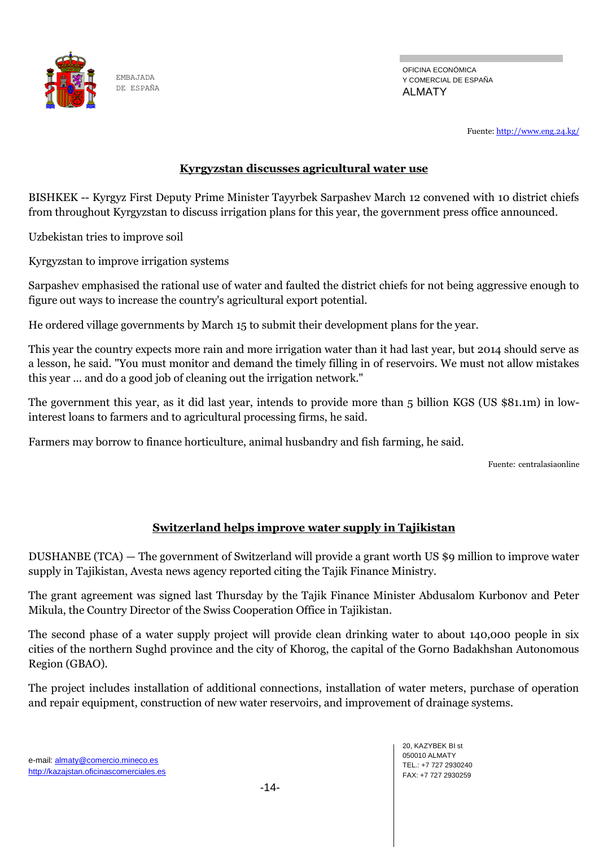

OFICINA ECONÓMICA Y COMERCIAL DE ESPAÑA ALMATY

Fuente[: http://www.eng.24.kg/](http://www.eng.24.kg/)

## **Kyrgyzstan discusses agricultural water use**

BISHKEK -- Kyrgyz First Deputy Prime Minister Tayyrbek Sarpashev March 12 convened with 10 district chiefs from throughout Kyrgyzstan to discuss irrigation plans for this year, the government press office announced.

Uzbekistan tries to improve soil

Kyrgyzstan to improve irrigation systems

Sarpashev emphasised the rational use of water and faulted the district chiefs for not being aggressive enough to figure out ways to increase the country's agricultural export potential.

He ordered village governments by March 15 to submit their development plans for the year.

This year the country expects more rain and more irrigation water than it had last year, but 2014 should serve as a lesson, he said. "You must monitor and demand the timely filling in of reservoirs. We must not allow mistakes this year ... and do a good job of cleaning out the irrigation network."

The government this year, as it did last year, intends to provide more than 5 billion KGS (US \$81.1m) in lowinterest loans to farmers and to agricultural processing firms, he said.

Farmers may borrow to finance horticulture, animal husbandry and fish farming, he said.

Fuente: centralasiaonline

## **Switzerland helps improve water supply in Tajikistan**

DUSHANBE (TCA) — The government of Switzerland will provide a grant worth US \$9 million to improve water supply in Tajikistan, Avesta news agency reported citing the Tajik Finance Ministry.

The grant agreement was signed last Thursday by the Tajik Finance Minister Abdusalom Kurbonov and Peter Mikula, the Country Director of the Swiss Cooperation Office in Tajikistan.

The second phase of a water supply project will provide clean drinking water to about 140,000 people in six cities of the northern Sughd province and the city of Khorog, the capital of the Gorno Badakhshan Autonomous Region (GBAO).

The project includes installation of additional connections, installation of water meters, purchase of operation and repair equipment, construction of new water reservoirs, and improvement of drainage systems.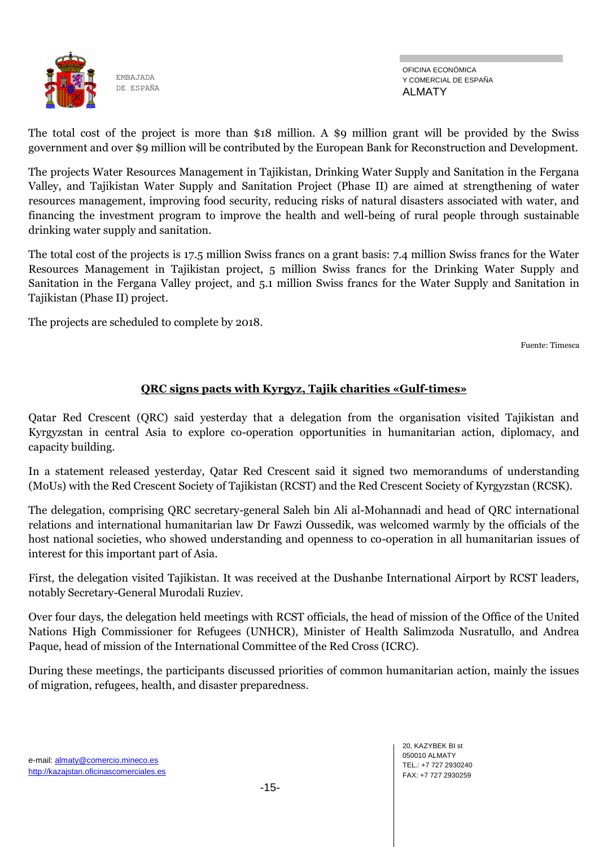

The total cost of the project is more than \$18 million. A \$9 million grant will be provided by the Swiss government and over \$9 million will be contributed by the European Bank for Reconstruction and Development.

The projects Water Resources Management in Tajikistan, Drinking Water Supply and Sanitation in the Fergana Valley, and Tajikistan Water Supply and Sanitation Project (Phase II) are aimed at strengthening of water resources management, improving food security, reducing risks of natural disasters associated with water, and financing the investment program to improve the health and well-being of rural people through sustainable drinking water supply and sanitation.

The total cost of the projects is 17.5 million Swiss francs on a grant basis: 7.4 million Swiss francs for the Water Resources Management in Tajikistan project, 5 million Swiss francs for the Drinking Water Supply and Sanitation in the Fergana Valley project, and 5.1 million Swiss francs for the Water Supply and Sanitation in Tajikistan (Phase II) project.

The projects are scheduled to complete by 2018.

Fuente: Timesca

## **QRC signs pacts with Kyrgyz, Tajik charities «Gulf-times»**

Qatar Red Crescent (QRC) said yesterday that a delegation from the organisation visited Tajikistan and Kyrgyzstan in central Asia to explore co-operation opportunities in humanitarian action, diplomacy, and capacity building.

In a statement released yesterday, Qatar Red Crescent said it signed two memorandums of understanding (MoUs) with the Red Crescent Society of Tajikistan (RCST) and the Red Crescent Society of Kyrgyzstan (RCSK).

The delegation, comprising QRC secretary-general Saleh bin Ali al-Mohannadi and head of QRC international relations and international humanitarian law Dr Fawzi Oussedik, was welcomed warmly by the officials of the host national societies, who showed understanding and openness to co-operation in all humanitarian issues of interest for this important part of Asia.

First, the delegation visited Tajikistan. It was received at the Dushanbe International Airport by RCST leaders, notably Secretary-General Murodali Ruziev.

Over four days, the delegation held meetings with RCST officials, the head of mission of the Office of the United Nations High Commissioner for Refugees (UNHCR), Minister of Health Salimzoda Nusratullo, and Andrea Paque, head of mission of the International Committee of the Red Cross (ICRC).

During these meetings, the participants discussed priorities of common humanitarian action, mainly the issues of migration, refugees, health, and disaster preparedness.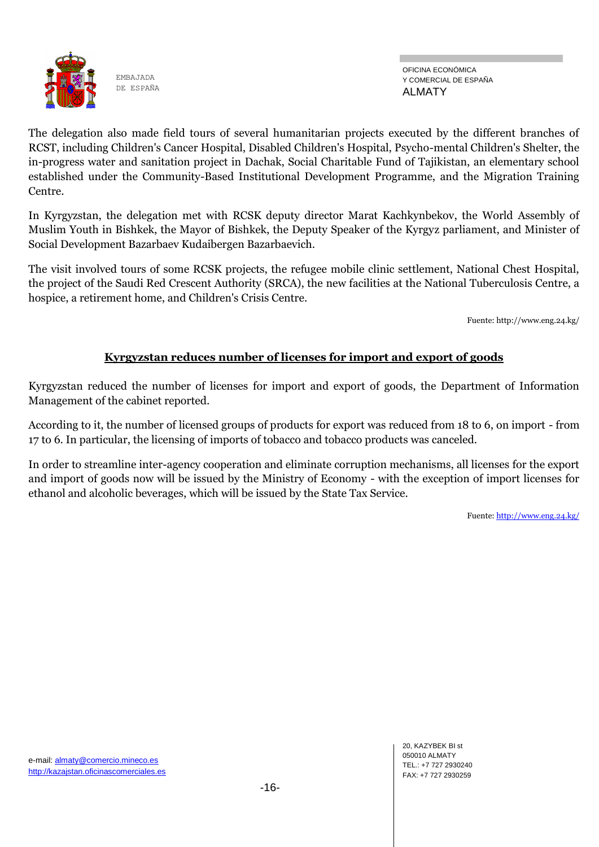

OFICINA ECONÓMICA Y COMERCIAL DE ESPAÑA ALMATY

The delegation also made field tours of several humanitarian projects executed by the different branches of RCST, including Children's Cancer Hospital, Disabled Children's Hospital, Psycho-mental Children's Shelter, the in-progress water and sanitation project in Dachak, Social Charitable Fund of Tajikistan, an elementary school established under the Community-Based Institutional Development Programme, and the Migration Training Centre.

In Kyrgyzstan, the delegation met with RCSK deputy director Marat Kachkynbekov, the World Assembly of Muslim Youth in Bishkek, the Mayor of Bishkek, the Deputy Speaker of the Kyrgyz parliament, and Minister of Social Development Bazarbaev Kudaibergen Bazarbaevich.

The visit involved tours of some RCSK projects, the refugee mobile clinic settlement, National Chest Hospital, the project of the Saudi Red Crescent Authority (SRCA), the new facilities at the National Tuberculosis Centre, a hospice, a retirement home, and Children's Crisis Centre.

Fuente: http://www.eng.24.kg/

## **Kyrgyzstan reduces number of licenses for import and export of goods**

Kyrgyzstan reduced the number of licenses for import and export of goods, the Department of Information Management of the cabinet reported.

According to it, the number of licensed groups of products for export was reduced from 18 to 6, on import - from 17 to 6. In particular, the licensing of imports of tobacco and tobacco products was canceled.

In order to streamline inter-agency cooperation and eliminate corruption mechanisms, all licenses for the export and import of goods now will be issued by the Ministry of Economy - with the exception of import licenses for ethanol and alcoholic beverages, which will be issued by the State Tax Service.

Fuente[: http://www.eng.24.kg/](http://www.eng.24.kg/)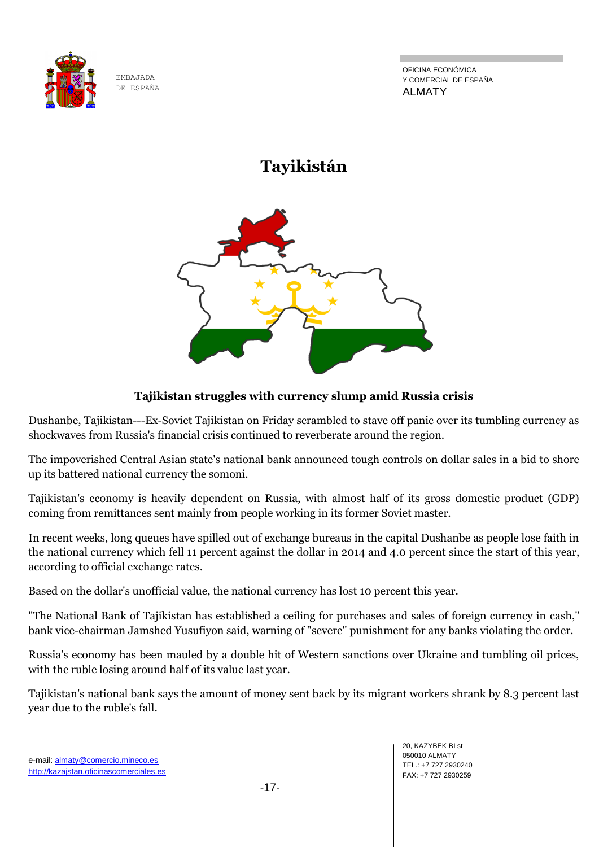

OFICINA ECONÓMICA Y COMERCIAL DE ESPAÑA ALMATY

# **Tayikistán**

# **Tajikistan struggles with currency slump amid Russia crisis**

Dushanbe, Tajikistan---Ex-Soviet Tajikistan on Friday scrambled to stave off panic over its tumbling currency as shockwaves from Russia's financial crisis continued to reverberate around the region.

The impoverished Central Asian state's national bank announced tough controls on dollar sales in a bid to shore up its battered national currency the somoni.

Tajikistan's economy is heavily dependent on Russia, with almost half of its gross domestic product (GDP) coming from remittances sent mainly from people working in its former Soviet master.

In recent weeks, long queues have spilled out of exchange bureaus in the capital Dushanbe as people lose faith in the national currency which fell 11 percent against the dollar in 2014 and 4.0 percent since the start of this year, according to official exchange rates.

Based on the dollar's unofficial value, the national currency has lost 10 percent this year.

"The National Bank of Tajikistan has established a ceiling for purchases and sales of foreign currency in cash," bank vice-chairman Jamshed Yusufiyon said, warning of "severe" punishment for any banks violating the order.

Russia's economy has been mauled by a double hit of Western sanctions over Ukraine and tumbling oil prices, with the ruble losing around half of its value last year.

Tajikistan's national bank says the amount of money sent back by its migrant workers shrank by 8.3 percent last year due to the ruble's fall.